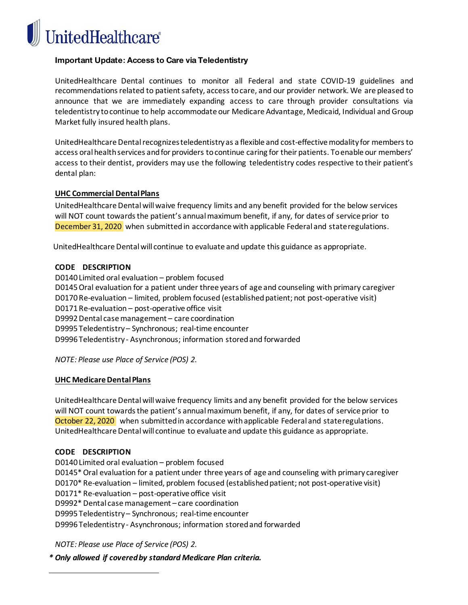**JnitedHealthcare®** 

## **Important Update: Access to Care via Teledentistry**

UnitedHealthcare Dental continues to monitor all Federal and state COVID-19 guidelines and recommendations related to patient safety, access to care, and our provider network. We are pleased to announce that we are immediately expanding access to care through provider consultations via teledentistry to continue to help accommodate our Medicare Advantage, Medicaid, Individual and Group Market fully insured health plans.

UnitedHealthcare Dental recognizes teledentistry as a flexible and cost-effective modality for members to access oral health services and for providers to continue caring for their patients. To enable our members' access to their dentist, providers may use the following teledentistry codes respective to their patient's dental plan:

#### **UHC Commercial Dental Plans**

UnitedHealthcare Dental will waive frequency limits and any benefit provided for the below services will NOT count towards the patient's annual maximum benefit, if any, for dates of service prior to December 31, 2020 when submitted in accordance with applicable Federal and state regulations.

UnitedHealthcare Dental will continue to evaluate and update this guidance as appropriate.

#### **CODE DESCRIPTION**

D0140 Limited oral evaluation – problem focused D0145 Oral evaluation for a patient under three years of age and counseling with primary caregiver D0170 Re-evaluation – limited, problem focused (established patient; not post-operative visit) D0171 Re-evaluation – post-operative office visit D9992 Dental case management – care coordination D9995 Teledentistry – Synchronous; real-time encounter D9996 Teledentistry - Asynchronous; information stored and forwarded

*NOTE: Please use Place of Service (POS) 2.*

#### **UHC Medicare Dental Plans**

UnitedHealthcare Dental will waive frequency limits and any benefit provided for the below services will NOT count towards the patient's annual maximum benefit, if any, for dates of service prior to October 22, 2020 when submitted in accordance with applicable Federal and state regulations. UnitedHealthcare Dental will continue to evaluate and update this guidance as appropriate.

## **CODE DESCRIPTION**

D0140 Limited oral evaluation – problem focused D0145\* Oral evaluation for a patient under three years of age and counseling with primary caregiver D0170\* Re-evaluation – limited, problem focused (established patient; not post-operative visit) D0171\* Re-evaluation – post-operative office visit D9992\* Dental case management – care coordination D9995 Teledentistry – Synchronous; real-time encounter D9996 Teledentistry - Asynchronous; information stored and forwarded

*NOTE: Please use Place of Service (POS) 2.*

*\* Only allowed if covered by standard Medicare Plan criteria.*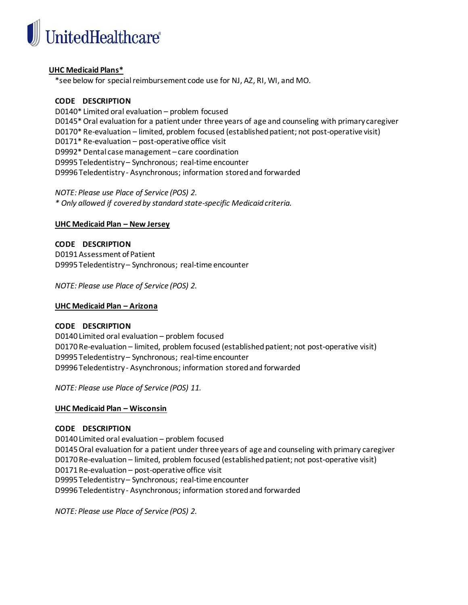

## **UHC Medicaid Plans\***

\*see below for special reimbursement code use for NJ, AZ, RI, WI, and MO.

#### **CODE DESCRIPTION**

D0140\* Limited oral evaluation – problem focused D0145\* Oral evaluation for a patient under three years of age and counseling with primary caregiver D0170\* Re-evaluation – limited, problem focused (established patient; not post-operative visit) D0171\* Re-evaluation – post-operative office visit D9992\* Dental case management – care coordination D9995 Teledentistry – Synchronous; real-time encounter D9996 Teledentistry - Asynchronous; information stored and forwarded

*NOTE: Please use Place of Service (POS) 2. \* Only allowed if covered by standard state-specific Medicaid criteria.*

#### **UHC Medicaid Plan – New Jersey**

**CODE DESCRIPTION** D0191 Assessment of Patient D9995 Teledentistry – Synchronous; real-time encounter

*NOTE: Please use Place of Service (POS) 2.*

#### **UHC Medicaid Plan – Arizona**

#### **CODE DESCRIPTION**

D0140 Limited oral evaluation – problem focused D0170 Re-evaluation – limited, problem focused (established patient; not post-operative visit) D9995 Teledentistry – Synchronous; real-time encounter D9996 Teledentistry - Asynchronous; information stored and forwarded

*NOTE: Please use Place of Service (POS) 11.*

## **UHC Medicaid Plan – Wisconsin**

## **CODE DESCRIPTION**

D0140 Limited oral evaluation – problem focused D0145 Oral evaluation for a patient under three years of age and counseling with primary caregiver D0170 Re-evaluation – limited, problem focused (established patient; not post-operative visit) D0171 Re-evaluation – post-operative office visit D9995 Teledentistry – Synchronous; real-time encounter D9996 Teledentistry - Asynchronous; information stored and forwarded

*NOTE: Please use Place of Service (POS) 2.*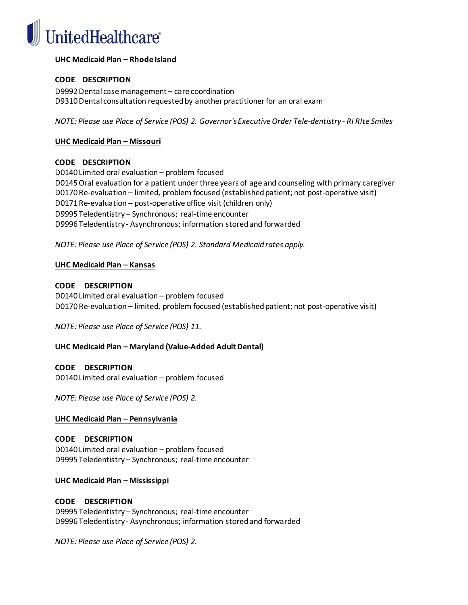

## **UHC Medicaid Plan – Rhode Island**

## **CODE DESCRIPTION**

D9992 Dental case management – care coordination D9310 Dental consultation requested by another practitioner for an oral exam

*NOTE: Please use Place of Service (POS) 2. Governor's Executive Order Tele-dentistry - RI RIte Smiles*

## **UHC Medicaid Plan – Missouri**

## **CODE DESCRIPTION**

D0140 Limited oral evaluation – problem focused D0145 Oral evaluation for a patient under three years of age and counseling with primary caregiver D0170 Re-evaluation – limited, problem focused (established patient; not post-operative visit) D0171 Re-evaluation – post-operative office visit (children only) D9995 Teledentistry – Synchronous; real-time encounter D9996 Teledentistry - Asynchronous; information stored and forwarded

*NOTE: Please use Place of Service (POS) 2. Standard Medicaid rates apply.* 

## **UHC Medicaid Plan – Kansas**

## **CODE DESCRIPTION**

D0140 Limited oral evaluation – problem focused D0170 Re-evaluation – limited, problem focused (established patient; not post-operative visit)

*NOTE: Please use Place of Service (POS) 11.*

## **UHC Medicaid Plan – Maryland (Value-Added Adult Dental)**

## **CODE DESCRIPTION**

D0140 Limited oral evaluation – problem focused

*NOTE: Please use Place of Service (POS) 2.*

## **UHC Medicaid Plan – Pennsylvania**

**CODE DESCRIPTION** D0140 Limited oral evaluation – problem focused D9995 Teledentistry – Synchronous; real-time encounter

## **UHC Medicaid Plan – Mississippi**

## **CODE DESCRIPTION** D9995 Teledentistry – Synchronous; real-time encounter D9996 Teledentistry - Asynchronous; information stored and forwarded

*NOTE: Please use Place of Service (POS) 2.*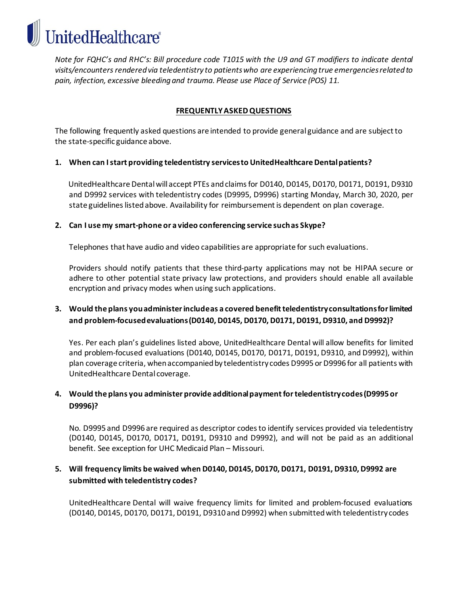*Note for FQHC's and RHC's: Bill procedure code T1015 with the U9 and GT modifiers to indicate dental visits/encounters rendered via teledentistry to patients who are experiencing true emergencies related to pain, infection, excessive bleeding and trauma. Please use Place of Service (POS) 11.*

# **FREQUENTLY ASKED QUESTIONS**

The following frequently asked questions are intended to provide general guidance and are subject to the state-specific guidance above.

## **1. When can I start providing teledentistry services to UnitedHealthcare Dentalpatients?**

UnitedHealthcare Dental will accept PTEs and claims for D0140, D0145, D0170, D0171, D0191, D9310 and D9992 services with teledentistry codes (D9995, D9996) starting Monday, March 30, 2020, per state guidelines listed above. Availability for reimbursement is dependent on plan coverage.

## **2. Can I use my smart-phone or a video conferencing service such as Skype?**

**InitedHealthcare®** 

Telephones that have audio and video capabilities are appropriate for such evaluations.

Providers should notify patients that these third-party applications may not be HIPAA secure or adhere to other potential state privacy law protections, and providers should enable all available encryption and privacy modes when using such applications.

# **3. Would the plans you administer include as a covered benefit teledentistry consultations for limited and problem-focused evaluations (D0140, D0145, D0170, D0171, D0191, D9310, and D9992)?**

Yes. Per each plan's guidelines listed above, UnitedHealthcare Dental will allow benefits for limited and problem-focused evaluations (D0140, D0145, D0170, D0171, D0191, D9310, and D9992), within plan coverage criteria, when accompanied by teledentistry codes D9995 or D9996 for all patients with UnitedHealthcare Dental coverage.

# **4. Would the plans you administer provide additional payment for teledentistry codes (D9995 or D9996)?**

No. D9995 and D9996 are required as descriptor codes to identify services provided via teledentistry (D0140, D0145, D0170, D0171, D0191, D9310 and D9992), and will not be paid as an additional benefit. See exception for UHC Medicaid Plan – Missouri.

# **5. Will frequency limits be waived when D0140, D0145, D0170, D0171, D0191, D9310, D9992 are submitted with teledentistry codes?**

UnitedHealthcare Dental will waive frequency limits for limited and problem-focused evaluations (D0140, D0145, D0170, D0171, D0191, D9310 and D9992) when submitted with teledentistry codes